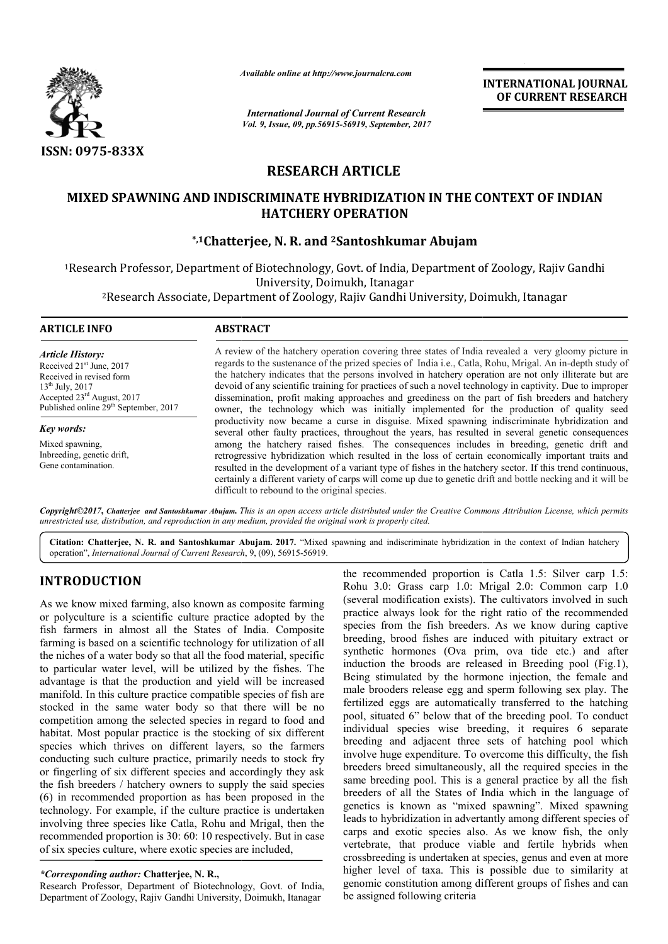

*Available online at http://www.journal http://www.journalcra.com*

*International Journal of Current Research Vol. 9, Issue, 09, pp.56915-56919, September, 2017* **INTERNATIONAL JOURNAL OF CURRENT RESEARCH** 

## **RESEARCH ARTICLE**

### **MIXED SPAWNING AND INDISCRIMINATE HYBRIDIZATION IN THE CONTEXT OF INDIAN OF INDIAN HATCHERY OPERATION**

## **\*,1Chatterjee, Chatterjee, N. R. and 2Santoshkumar Abujam**

1Research Professor, Department of Biotechnology, Govt. of India, Department of Zoology, Rajiv Gandhi Research University, Doimukh, Itanagar Research Professor, Department of Biotechnology, Govt. of India, Department of Zoology, Rajiv<br>University, Doimukh, Itanagar<br><sup>2</sup>Research Associate, Department of Zoology, Rajiv Gandhi University, Doimukh, Itanagar

| ARTICLE INFO                                                                                                                                                                                      | <b>ABSTRACT</b>                                                                                                                                                                                                                                                                                                                                                                                                                                                                                                                                                                                                                       |
|---------------------------------------------------------------------------------------------------------------------------------------------------------------------------------------------------|---------------------------------------------------------------------------------------------------------------------------------------------------------------------------------------------------------------------------------------------------------------------------------------------------------------------------------------------------------------------------------------------------------------------------------------------------------------------------------------------------------------------------------------------------------------------------------------------------------------------------------------|
| Article History:<br>Received $21st$ June, 2017<br>Received in revised form<br>$13^{th}$ July, 2017<br>Accepted $23^{\text{rd}}$ August, 2017<br>Published online 29 <sup>th</sup> September, 2017 | A review of the hatchery operation covering three states of India revealed a very gloomy picture in<br>regards to the sustenance of the prized species of India i.e., Catla, Rohu, Mrigal. An in-depth study of<br>the hatchery indicates that the persons involved in hatchery operation are not only illiterate but are<br>devoid of any scientific training for practices of such a novel technology in captivity. Due to improper<br>dissemination, profit making approaches and greediness on the part of fish breeders and hatchery<br>owner, the technology which was initially implemented for the production of quality seed |
| Key words:                                                                                                                                                                                        | productivity now became a curse in disguise. Mixed spawning indiscriminate hybridization and<br>several other faulty practices, throughout the years, has resulted in several genetic consequences                                                                                                                                                                                                                                                                                                                                                                                                                                    |
| Mixed spawning.<br>Inbreeding, genetic drift,<br>Gene contamination.                                                                                                                              | among the hatchery raised fishes. The consequences includes in breeding, genetic drift and<br>retrogressive hybridization which resulted in the loss of certain economically important traits and<br>resulted in the development of a variant type of fishes in the hatchery sector. If this trend continuous,<br>certainly a different variety of carps will come up due to genetic drift and bottle necking and it will be                                                                                                                                                                                                          |

Copyright©2017, Chatterjee and Santoshkumar Abujam. This is an open access article distributed under the Creative Commons Attribution License, which permits *unrestricted use, distribution, and reproduction in any medium, provided the original work is properly cited.*

difficult to rebound to the original species.

Citation: Chatterjee, N. R. and Santoshkumar Abujam. 2017. "Mixed spawning and indiscriminate hybridization in the context of Indian hatchery operation", *International Journal of Current Research*, 9, (09), 56915-56919.

# **INTRODUCTION**

As we know mixed farming, also known as composite farming or polyculture is a scientific culture practice adopted by the fish farmers in almost all the States of India. Composite farming is based on a scientific technology for utilization of all the niches of a water body so that all the food material, specific to particular water level, will be utilized by the fishes. The advantage is that the production and yield will be increased manifold. In this culture practice compatible species of fis fish are stocked in the same water body so that there will be no competition among the selected species in regard to food and habitat. Most popular practice is the stocking of six different species which thrives on different layers, so the farmers conducting such culture practice, primarily needs to stock fry or fingerling of six different species and accordingly they ask the fish breeders / hatchery owners to supply the said species (6) in recommended proportion as has been proposed in the technology. For example, if the culture practice is undertaken involving three species like Catla, Rohu and Mrigal, then the recommended proportion is 30: 60: 10 respectively. But in case of six species culture, where exotic species are included,

#### *\*Corresponding author:* **Chatterjee, N. R.,**

Research Professor, Department of Biotechnology, Govt. of India, Department of Zoology, Rajiv Gandhi University, Doimukh, Itanagar

**N**<br> **the recommended proportion is Catla 1.5:** Silver carp 1.5:<br>
farming, also known as composite farming<br>
(several modification exists). The cultivators involved in such<br>
scientific culture practice adopted by the<br>
pract the recommended proportion is Catla 1.5: Silver carp 1.5: Rohu 3.0: Grass carp 1.0: Mrigal 2.0: Common carp 1.0 (several modification exists). The cultivators involved in such practice always look for the right ratio of the recommended species from the fish breeders. As we know during captive breeding, brood fishes are induced with pituitary extract or synthetic hormones (Ova prim, ova tide etc.) and after induction the broods are released in Breeding pool (Fig.1), Being stimulated by the hormone injection, the female and male brooders release egg and sperm following sex play. The fertilized eggs are automatically transferred to the hatching pool, situated 6" below that of the breeding pool. To conduct individual species wise breeding, it requires 6 separate breeding and adjacent three sets of hatching pool which involve huge expenditure. To overcome this difficulty, the fish breeders breed simultaneously, all the required species in the same breeding pool. This is a general practice by all the fish breeders of all the States of India which in the language of breeders breed simultaneously, all the required species in the same breeding pool. This is a general practice by all the fish breeders of all the States of India which in the language of genetics is known as "mixed spawnin leads to hybridization in advertantly among different species of carps and exotic species also. As we know fish, the only vertebrate, that produce viable and fertile hybrids when crossbreeding is undertaken at species, genus and even at mor higher level of taxa. This is possible due to similarity at genomic constitution among different groups of fishes and can be assigned following criteria modification exists). The cultivators involved in such always look for the right ratio of the recommended from the fish breeders. As we know during captive  $x$ , brood fishes are induced with pituitary extract or synthetic hormones (Ova prim, ova tide etc.) and after induction the broods are released in Breeding pool (Fig.1), Being stimulated by the hormone injection, the female and male brooders release egg and sperm following sex o hybridization in advertantly among different species of and exotic species also. As we know fish, the only rate, that produce viable and fertile hybrids when reeding is undertaken at species, genus and even at more **INTERNATIONAL JOURNAL**<br> **OF CURRENT RESEARCH**<br> **OF CURRENT RESEARCH**<br> **OF CURRENT RESEARCH**<br> **CONTEXT OF INDIAN**<br> **CONTEXT OF INDIAN**<br> **CONTEXT OF INDIAN**<br> **CONTEXT OF INDIAN**<br> **CONTEXT OF INDIAN**<br> **CONTEXT OF INDIAN**<br>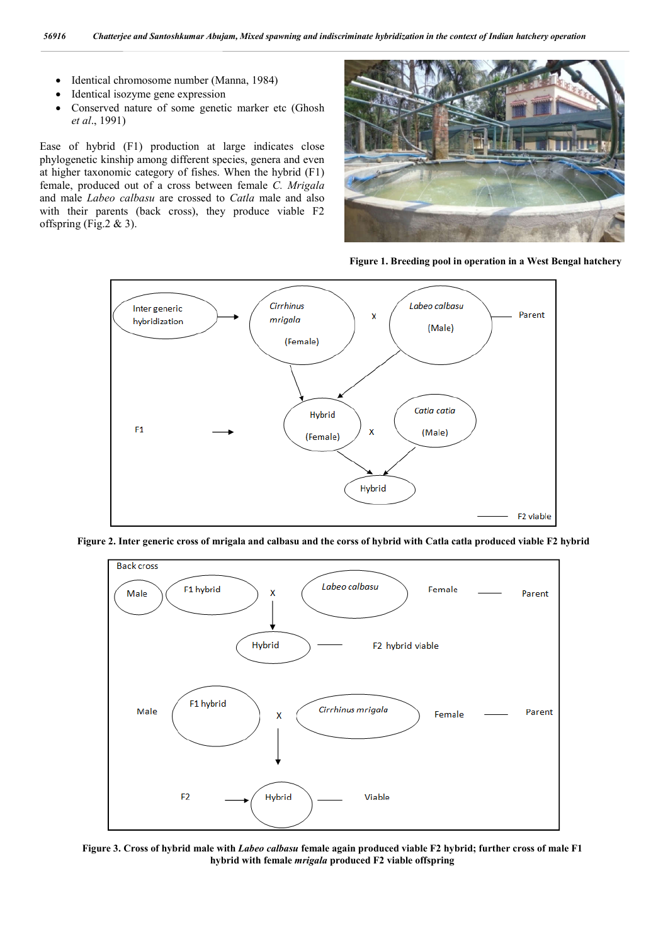- Identical chromosome number (Manna, 1984)
- Identical isozyme gene expression
- Conserved nature of some genetic marker etc (Ghosh *et al*., 1991)

Ease of hybrid (F1) production at large indicates close phylogenetic kinship among different species, genera and even at higher taxonomic category of fishes. When the hybrid (F1) female, produced out of a cross between female *C. Mrigala* and male *Labeo calbasu* are crossed to *Catla* male and also with their parents (back cross), they produce viable F2 offspring (Fig.2 & 3).



**Figure 1. Breeding pool in operation in a West Bengal hatchery**



**Figure 2. Inter generic cross of mrigala and calbasu and the corss of hybrid with Catla catla produced viable F2 hybrid**



**Figure 3. Cross of hybrid male with** *Labeo calbasu* **female again produced viable F2 hybrid; further cross of male F1 hybrid with female** *mrigala* **produced F2 viable offspring**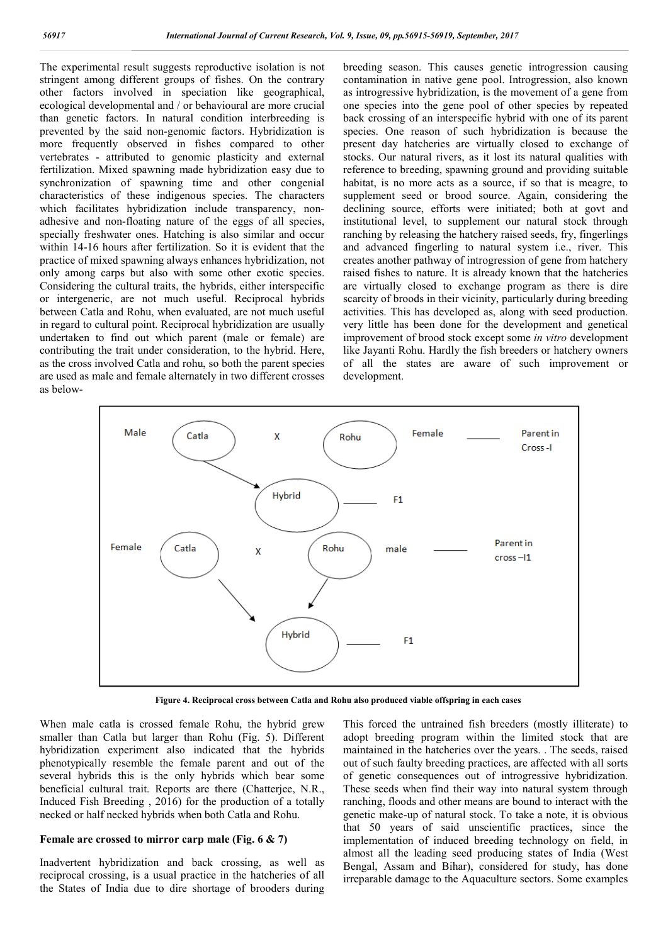The experimental result suggests reproductive isolation is not stringent among different groups of fishes. On the contrary other factors involved in speciation like geographical, ecological developmental and / or behavioural are more crucial than genetic factors. In natural condition interbreeding is prevented by the said non-genomic factors. Hybridization is more frequently observed in fishes compared to other vertebrates - attributed to genomic plasticity and external fertilization. Mixed spawning made hybridization easy due to synchronization of spawning time and other congenial characteristics of these indigenous species. The characters which facilitates hybridization include transparency, nonadhesive and non-floating nature of the eggs of all species, specially freshwater ones. Hatching is also similar and occur within 14-16 hours after fertilization. So it is evident that the practice of mixed spawning always enhances hybridization, not only among carps but also with some other exotic species. Considering the cultural traits, the hybrids, either interspecific or intergeneric, are not much useful. Reciprocal hybrids between Catla and Rohu, when evaluated, are not much useful in regard to cultural point. Reciprocal hybridization are usually undertaken to find out which parent (male or female) are contributing the trait under consideration, to the hybrid. Here, as the cross involved Catla and rohu, so both the parent species are used as male and female alternately in two different crosses as belowbreeding season. This causes genetic introgression causing contamination in native gene pool. Introgression, also known as introgressive hybridization, is the movement of a gene from one species into the gene pool of other species by repeated back crossing of an interspecific hybrid with one of its parent species. One reason of such hybridization is because the present day hatcheries are virtually closed to exchange of stocks. Our natural rivers, as it lost its natural qualities with reference to breeding, spawning ground and providing suitable habitat, is no more acts as a source, if so that is meagre, to supplement seed or brood source. Again, considering the declining source, efforts were initiated; both at govt and institutional level, to supplement our natural stock through ranching by releasing the hatchery raised seeds, fry, fingerlings and advanced fingerling to natural system i.e., river. This creates another pathway of introgression of gene from hatchery raised fishes to nature. It is already known that the hatcheries are virtually closed to exchange program as there is dire scarcity of broods in their vicinity, particularly during breeding activities. This has developed as, along with seed production. very little has been done for the development and genetical improvement of brood stock except some *in vitro* development like Jayanti Rohu. Hardly the fish breeders or hatchery owners of all the states are aware of such improvement or development.



**Figure 4. Reciprocal cross between Catla and Rohu also produced viable offspring in each cases**

When male catla is crossed female Rohu, the hybrid grew smaller than Catla but larger than Rohu (Fig. 5). Different hybridization experiment also indicated that the hybrids phenotypically resemble the female parent and out of the several hybrids this is the only hybrids which bear some beneficial cultural trait. Reports are there (Chatterjee, N.R., Induced Fish Breeding , 2016) for the production of a totally necked or half necked hybrids when both Catla and Rohu.

#### **Female are crossed to mirror carp male (Fig. 6 & 7)**

Inadvertent hybridization and back crossing, as well as reciprocal crossing, is a usual practice in the hatcheries of all the States of India due to dire shortage of brooders during This forced the untrained fish breeders (mostly illiterate) to adopt breeding program within the limited stock that are maintained in the hatcheries over the years. . The seeds, raised out of such faulty breeding practices, are affected with all sorts of genetic consequences out of introgressive hybridization. These seeds when find their way into natural system through ranching, floods and other means are bound to interact with the genetic make-up of natural stock. To take a note, it is obvious that 50 years of said unscientific practices, since the implementation of induced breeding technology on field, in almost all the leading seed producing states of India (West Bengal, Assam and Bihar), considered for study, has done irreparable damage to the Aquaculture sectors. Some examples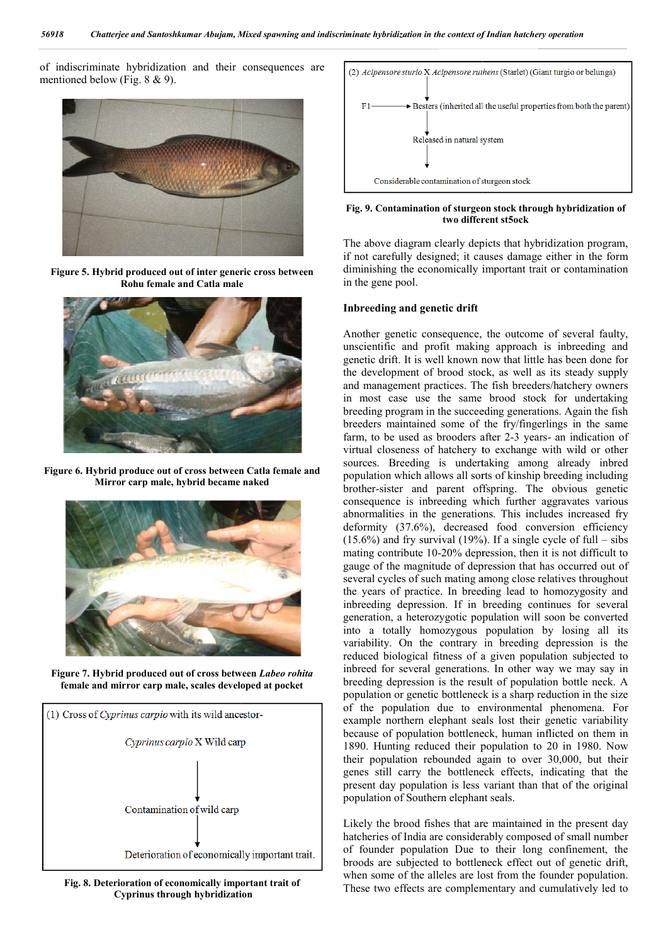of indiscriminate hybridization and their consequences are mentioned below (Fig. 8 & 9).



**Figure 5. Hybrid produced out of inter generic cross between Rohu female and Catla male**



**Figure 6. Hybrid produce out of cross between Catla female and Mirror carp male, hybrid became naked**



**Figure 7. Hybrid produced out of cross between**  *Labeo rohita* **female and mirror carp male, scales developed at pocket**



**Fig. 8. Deterioration of economically important trait of Cyprinus through hybridization**



**Fig. 9. Contamination of sturgeon stock through hybridization of 9. different st5ocktwo different st5ock**

The above diagram clearly depicts that hybridization program, if not carefully designed; it causes damage either in the form diminishing the economically important trait or contamination in the gene pool. ram clearly depicts that hybridization program,<br>designed; it causes damage either in the form<br>economically important trait or contamination<br>l.<br>**d** genetic drift<br>consequence, the outcome of several faulty,<br>d profit making a

#### **Inbreeding and genetic drift**

Another genetic consequence, the outcome of several faulty, unscientific and profit making approach is inbreeding and genetic drift. It is well known now that the development of brood stock, as well as its steady supply and management practices. The fish breeders/hatchery owners in most case use the same brood stock for undertaking breeding program in the succeeding generations. Again th breeders maintained some of the fry/fingerlings in the same breeders maintained some of the fry/fingerlings in the same farm, to be used as brooders after 2-3 years- an indication of virtual closeness of hatchery to exchange with wild or other sources. Breeding is undertaking among already inbred population which allows all sorts of kinship breeding including brother-sister and parent offspring. The obvious genetic consequence is inbreeding which further aggravates various abnormalities in the generations. This includes increased fry deformity (37.6%), decreased food conversion efficiency  $(15.6\%)$  and fry survival  $(19\%)$ . If a single cycle of full – sibs mating contribute 10-20% depression, then it is not difficult to gauge of the magnitude of depression that has occurred out of several cycles of such mating among close relatives throughout the years of practice. In breeding lead to homozygosity and inbreeding depression. If in breeding continues for several generation, a heterozygotic population will soon be converted the years of practice. In breeding lead to homozygosity and inbreeding depression. If in breeding continues for several generation, a heterozygotic population will soon be converted into a totally homozygous population by variability. On the contrary in breeding depression is the reduced biological fitness of a given population subjected to inbreed for several generations. In other way we may say in breeding depression is the result of population bottle neck. A population or genetic bottleneck is a sharp reduction in the size of the population due to environmental phenomena. For example northern elephant seals lost their genetic variability because of population bottleneck, human inflicted on them in 1890. Hunting reduced their population to 20 in 1980. Now their population rebounded again to over 30,000, but their genes still carry the bottleneck effects, indicating that the present day population is less variant than that of the original population of Southern elephant seals. the development of brood stock, as well as its steady supply<br>and management practices. The fish breeders/hatchery owners<br>in most case use the same brood stock for undertaking<br>breeding program in the succeeding generations. closeness of hatchery to exchange with wild or other<br>
. Breeding is undertaking among already inbred<br>
ion which allows all sorts of kinship breeding including<br>
sister and parent offspring. The obvious genetic<br>
uence is inb 20% depression, then it is not difficult to<br>the magnitude of depression that has occurred out of<br>reles of such mating among close relatives throughout variability. On the contrary in breeding depression is the reduced biological fitness of a given population subjected to inbreed for several generations. In other way we may say in breeding depression is the result of popu and indiscriminants hybridization in the context of Indian hanklery operation<br>
3 are<br>
3 context of context of the context of Indian by the particular origins of both and<br>  $F1$  and the context of the context of the context

Likely the brood fishes that are maintained in the present day hatcheries of India are considerably composed of small number of founder population Due to their long confinement, the broods are subjected to bottleneck effect out of genetic dr when some of the alleles are lost from the founder population. These two effects are complementary and cumulatively led to